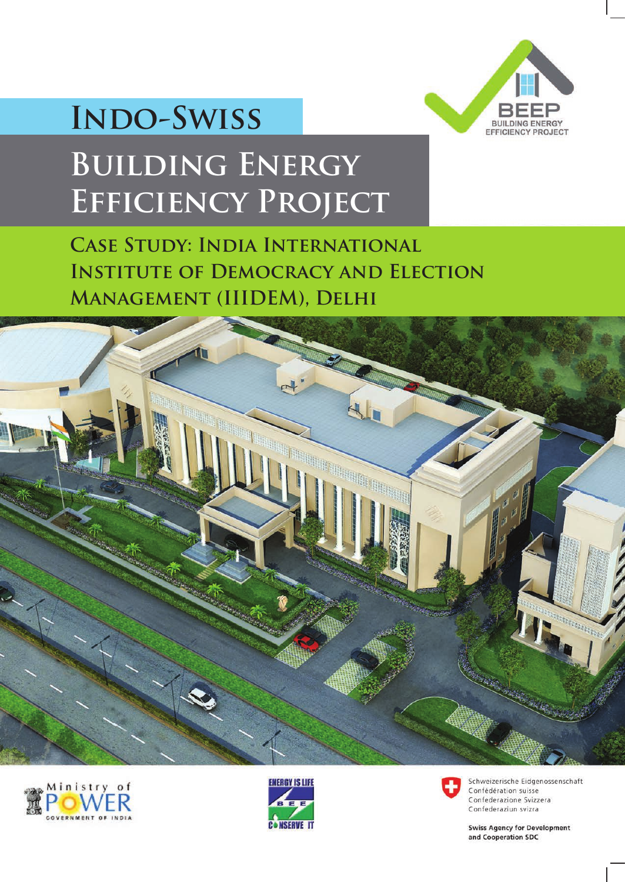

# **Indo-Swiss**

# **Building Energy Efficiency Project**

**Case Study: India International INSTITUTE OF DEMOCRACY AND ELECTION Management (IIIDEM), Delhi**









Schweizerische Eidgenossenschaft Confédération suisse Confederazione Svizzera Confederaziun svizra

**Swiss Agency for Development** and Cooperation SDC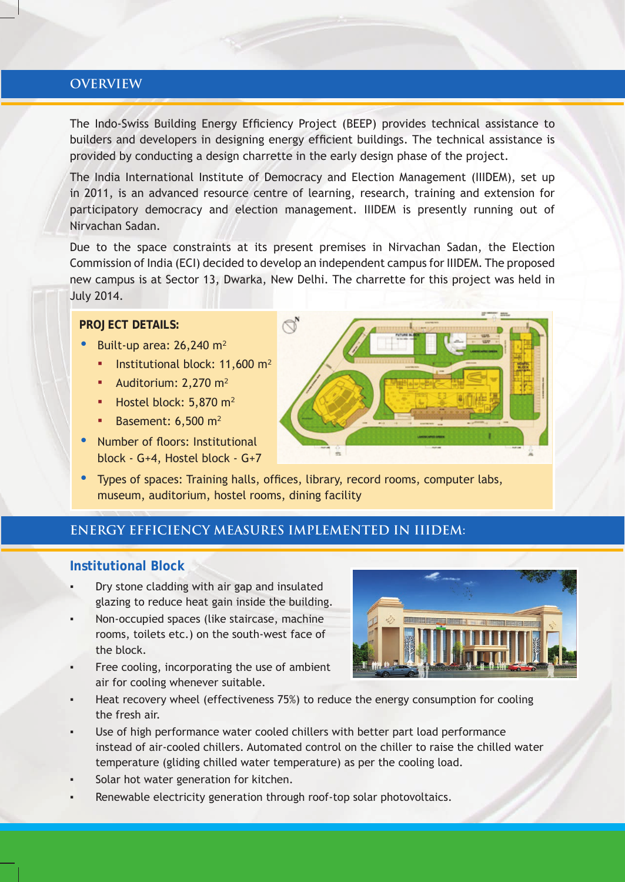### **OVERVIEW**

The Indo-Swiss Building Energy Efficiency Project (BEEP) provides technical assistance to builders and developers in designing energy efficient buildings. The technical assistance is provided by conducting a design charrette in the early design phase of the project.

The India International Institute of Democracy and Election Management (IIIDEM), set up in 2011, is an advanced resource centre of learning, research, training and extension for participatory democracy and election management. IIIDEM is presently running out of Nirvachan Sadan.

Due to the space constraints at its present premises in Nirvachan Sadan, the Election Commission of India (ECI) decided to develop an independent campus for IIIDEM. The proposed new campus is at Sector 13, Dwarka, New Delhi. The charrette for this project was held in July 2014.

#### **PROJECT DETAILS:**

- Built-up area:  $26,240$  m<sup>2</sup>
	- **·** Institutional block: 11,600  $m^2$
	- **•** Auditorium:  $2,270$  m<sup>2</sup>
	- $\blacksquare$  Hostel block: 5,870 m<sup>2</sup>
	- Basement:  $6,500$  m<sup>2</sup>
- Number of floors: Institutional block - G+4, Hostel block - G+7



• Types of spaces: Training halls, offices, library, record rooms, computer labs, museum, auditorium, hostel rooms, dining facility

## **ENERGY EFFICIENCY MEASURES IMPLEMENTED IN IIIDEM:**

#### **Institutional Block**

- Dry stone cladding with air gap and insulated glazing to reduce heat gain inside the building.
- Non-occupied spaces (like staircase, machine rooms, toilets etc.) on the south-west face of the block.
- Free cooling, incorporating the use of ambient air for cooling whenever suitable.



- Heat recovery wheel (effectiveness 75%) to reduce the energy consumption for cooling the fresh air.
- Use of high performance water cooled chillers with better part load performance instead of air-cooled chillers. Automated control on the chiller to raise the chilled water temperature (gliding chilled water temperature) as per the cooling load.
- Solar hot water generation for kitchen.
- Renewable electricity generation through roof-top solar photovoltaics.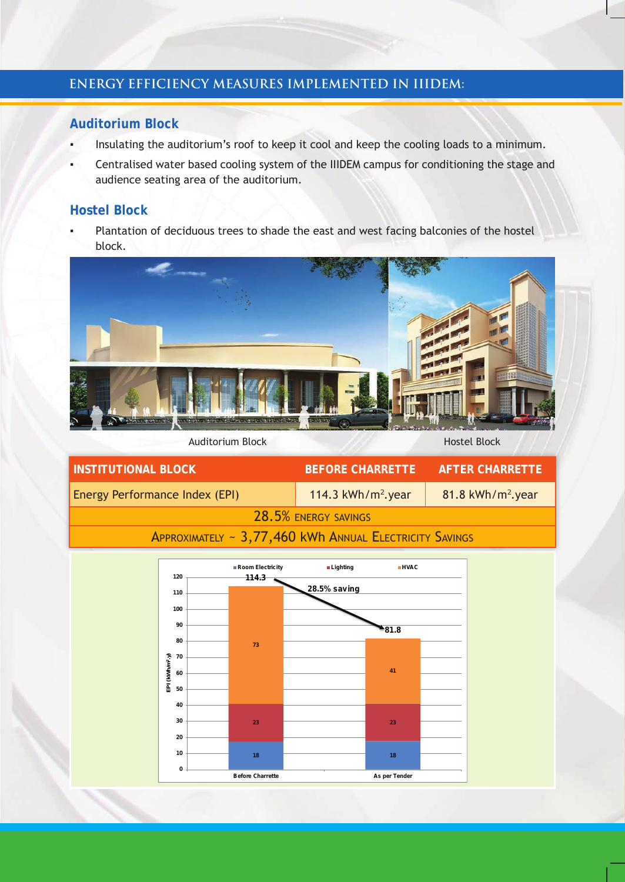# **ENERGY EFFICIENCY MEASURES IMPLEMENTED IN IIIDEM:**

### **Auditorium Block**

- Insulating the auditorium's roof to keep it cool and keep the cooling loads to a minimum.
- Centralised water based cooling system of the IIIDEM campus for conditioning the stage and audience seating area of the auditorium.

### **Hostel Block**

Plantation of deciduous trees to shade the east and west facing balconies of the hostel block.



Auditorium Block Hostel Block